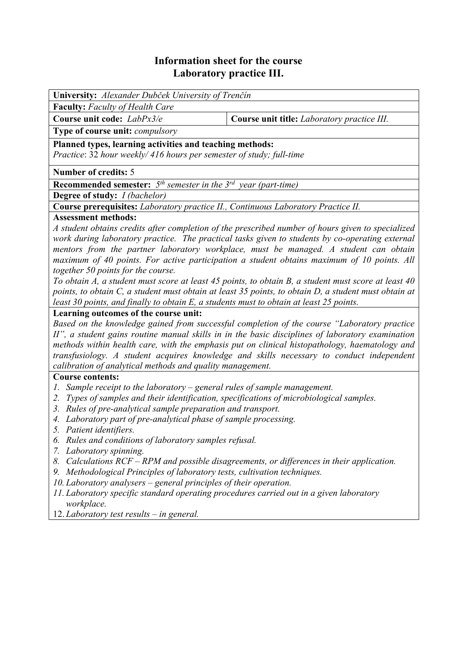# **Information sheet for the course Laboratory practice III.**

| University: Alexander Dubček University of Trenčín                                                                                                          |  |  |  |  |  |
|-------------------------------------------------------------------------------------------------------------------------------------------------------------|--|--|--|--|--|
| Faculty: Faculty of Health Care                                                                                                                             |  |  |  |  |  |
| Course unit code: LabPx3/e<br>Course unit title: Laboratory practice III.                                                                                   |  |  |  |  |  |
| Type of course unit: <i>compulsory</i>                                                                                                                      |  |  |  |  |  |
| Planned types, learning activities and teaching methods:                                                                                                    |  |  |  |  |  |
| Practice: 32 hour weekly/ 416 hours per semester of study; full-time                                                                                        |  |  |  |  |  |
| <b>Number of credits: 5</b>                                                                                                                                 |  |  |  |  |  |
| <b>Recommended semester:</b> $5^{th}$ semester in the $3^{rd}$ year (part-time)                                                                             |  |  |  |  |  |
| <b>Degree of study:</b> <i>I (bachelor)</i>                                                                                                                 |  |  |  |  |  |
| Course prerequisites: Laboratory practice II., Continuous Laboratory Practice II.                                                                           |  |  |  |  |  |
| <b>Assessment methods:</b>                                                                                                                                  |  |  |  |  |  |
| A student obtains credits after completion of the prescribed number of hours given to specialized                                                           |  |  |  |  |  |
| work during laboratory practice. The practical tasks given to students by co-operating external                                                             |  |  |  |  |  |
| mentors from the partner laboratory workplace, must be managed. A student can obtain                                                                        |  |  |  |  |  |
| maximum of 40 points. For active participation a student obtains maximum of 10 points. All                                                                  |  |  |  |  |  |
| together 50 points for the course.                                                                                                                          |  |  |  |  |  |
| To obtain A, a student must score at least 45 points, to obtain B, a student must score at least 40                                                         |  |  |  |  |  |
| points, to obtain C, a student must obtain at least 35 points, to obtain D, a student must obtain at                                                        |  |  |  |  |  |
| least 30 points, and finally to obtain E, a students must to obtain at least 25 points.                                                                     |  |  |  |  |  |
| Learning outcomes of the course unit:                                                                                                                       |  |  |  |  |  |
| Based on the knowledge gained from successful completion of the course "Laboratory practice"                                                                |  |  |  |  |  |
| II", a student gains routine manual skills in in the basic disciplines of laboratory examination                                                            |  |  |  |  |  |
| methods within health care, with the emphasis put on clinical histopathology, haematology and                                                               |  |  |  |  |  |
| transfusiology. A student acquires knowledge and skills necessary to conduct independent                                                                    |  |  |  |  |  |
| calibration of analytical methods and quality management.                                                                                                   |  |  |  |  |  |
| <b>Course contents:</b>                                                                                                                                     |  |  |  |  |  |
| Sample receipt to the laboratory $-$ general rules of sample management.<br>Ι.                                                                              |  |  |  |  |  |
| Types of samples and their identification, specifications of microbiological samples.<br>2.<br>3. Rules of pre-analytical sample preparation and transport. |  |  |  |  |  |
|                                                                                                                                                             |  |  |  |  |  |
| 4. Laboratory part of pre-analytical phase of sample processing.                                                                                            |  |  |  |  |  |

- *5. Patient identifiers.*
- *6. Rules and conditions of laboratory samples refusal.*
- *7. Laboratory spinning.*
- *8. Calculations RCF RPM and possible disagreements, or differences in their application.*
- *9. Methodological Principles of laboratory tests, cultivation techniques.*
- *10. Laboratory analysers general principles of their operation.*
- *11. Laboratory specific standard operating procedures carried out in a given laboratory workplace.*
- 12. *Laboratory test results in general.*